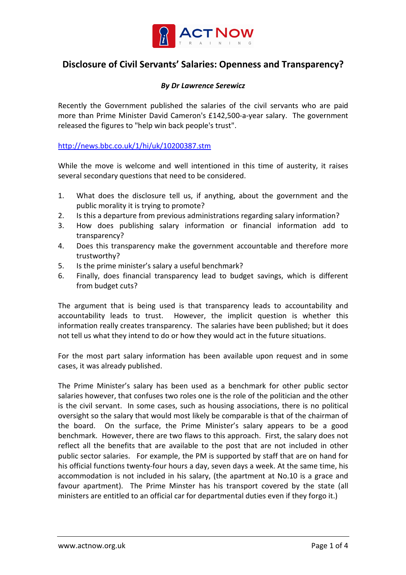

## Disclosure of Civil Servants' Salaries: Openness and Transparency?

## By Dr Lawrence Serewicz

Recently the Government published the salaries of the civil servants who are paid more than Prime Minister David Cameron's £142,500-a-year salary. The government released the figures to "help win back people's trust".

http://news.bbc.co.uk/1/hi/uk/10200387.stm

While the move is welcome and well intentioned in this time of austerity, it raises several secondary questions that need to be considered.

- 1. What does the disclosure tell us, if anything, about the government and the public morality it is trying to promote?
- 2. Is this a departure from previous administrations regarding salary information?
- 3. How does publishing salary information or financial information add to transparency?
- 4. Does this transparency make the government accountable and therefore more trustworthy?
- 5. Is the prime minister's salary a useful benchmark?
- 6. Finally, does financial transparency lead to budget savings, which is different from budget cuts?

The argument that is being used is that transparency leads to accountability and accountability leads to trust. However, the implicit question is whether this information really creates transparency. The salaries have been published; but it does not tell us what they intend to do or how they would act in the future situations.

For the most part salary information has been available upon request and in some cases, it was already published.

The Prime Minister's salary has been used as a benchmark for other public sector salaries however, that confuses two roles one is the role of the politician and the other is the civil servant. In some cases, such as housing associations, there is no political oversight so the salary that would most likely be comparable is that of the chairman of the board. On the surface, the Prime Minister's salary appears to be a good benchmark. However, there are two flaws to this approach. First, the salary does not reflect all the benefits that are available to the post that are not included in other public sector salaries. For example, the PM is supported by staff that are on hand for his official functions twenty-four hours a day, seven days a week. At the same time, his accommodation is not included in his salary, (the apartment at No.10 is a grace and favour apartment). The Prime Minster has his transport covered by the state (all ministers are entitled to an official car for departmental duties even if they forgo it.)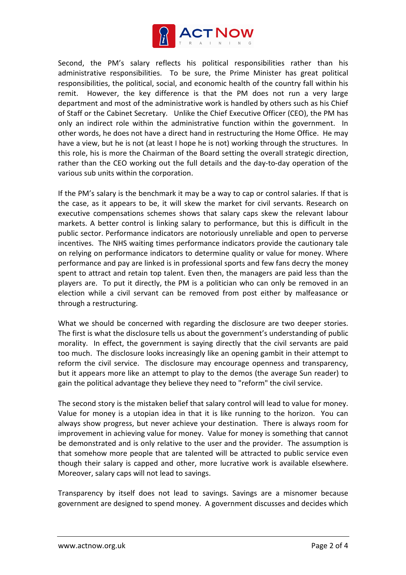

Second, the PM's salary reflects his political responsibilities rather than his administrative responsibilities. To be sure, the Prime Minister has great political responsibilities, the political, social, and economic health of the country fall within his remit. However, the key difference is that the PM does not run a very large department and most of the administrative work is handled by others such as his Chief of Staff or the Cabinet Secretary. Unlike the Chief Executive Officer (CEO), the PM has only an indirect role within the administrative function within the government. In other words, he does not have a direct hand in restructuring the Home Office. He may have a view, but he is not (at least I hope he is not) working through the structures. In this role, his is more the Chairman of the Board setting the overall strategic direction, rather than the CEO working out the full details and the day-to-day operation of the various sub units within the corporation.

If the PM's salary is the benchmark it may be a way to cap or control salaries. If that is the case, as it appears to be, it will skew the market for civil servants. Research on executive compensations schemes shows that salary caps skew the relevant labour markets. A better control is linking salary to performance, but this is difficult in the public sector. Performance indicators are notoriously unreliable and open to perverse incentives. The NHS waiting times performance indicators provide the cautionary tale on relying on performance indicators to determine quality or value for money. Where performance and pay are linked is in professional sports and few fans decry the money spent to attract and retain top talent. Even then, the managers are paid less than the players are. To put it directly, the PM is a politician who can only be removed in an election while a civil servant can be removed from post either by malfeasance or through a restructuring.

What we should be concerned with regarding the disclosure are two deeper stories. The first is what the disclosure tells us about the government's understanding of public morality. In effect, the government is saying directly that the civil servants are paid too much. The disclosure looks increasingly like an opening gambit in their attempt to reform the civil service. The disclosure may encourage openness and transparency, but it appears more like an attempt to play to the demos (the average Sun reader) to gain the political advantage they believe they need to "reform" the civil service.

The second story is the mistaken belief that salary control will lead to value for money. Value for money is a utopian idea in that it is like running to the horizon. You can always show progress, but never achieve your destination. There is always room for improvement in achieving value for money. Value for money is something that cannot be demonstrated and is only relative to the user and the provider. The assumption is that somehow more people that are talented will be attracted to public service even though their salary is capped and other, more lucrative work is available elsewhere. Moreover, salary caps will not lead to savings.

Transparency by itself does not lead to savings. Savings are a misnomer because government are designed to spend money. A government discusses and decides which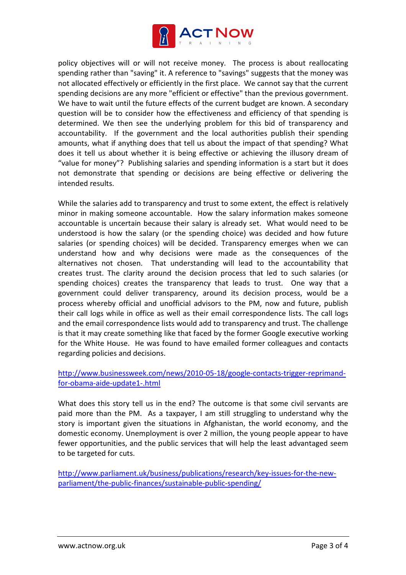

policy objectives will or will not receive money. The process is about reallocating spending rather than "saving" it. A reference to "savings" suggests that the money was not allocated effectively or efficiently in the first place. We cannot say that the current spending decisions are any more "efficient or effective" than the previous government. We have to wait until the future effects of the current budget are known. A secondary question will be to consider how the effectiveness and efficiency of that spending is determined. We then see the underlying problem for this bid of transparency and accountability. If the government and the local authorities publish their spending amounts, what if anything does that tell us about the impact of that spending? What does it tell us about whether it is being effective or achieving the illusory dream of "value for money"? Publishing salaries and spending information is a start but it does not demonstrate that spending or decisions are being effective or delivering the intended results.

While the salaries add to transparency and trust to some extent, the effect is relatively minor in making someone accountable. How the salary information makes someone accountable is uncertain because their salary is already set. What would need to be understood is how the salary (or the spending choice) was decided and how future salaries (or spending choices) will be decided. Transparency emerges when we can understand how and why decisions were made as the consequences of the alternatives not chosen. That understanding will lead to the accountability that creates trust. The clarity around the decision process that led to such salaries (or spending choices) creates the transparency that leads to trust. One way that a government could deliver transparency, around its decision process, would be a process whereby official and unofficial advisors to the PM, now and future, publish their call logs while in office as well as their email correspondence lists. The call logs and the email correspondence lists would add to transparency and trust. The challenge is that it may create something like that faced by the former Google executive working for the White House. He was found to have emailed former colleagues and contacts regarding policies and decisions.

## http://www.businessweek.com/news/2010-05-18/google-contacts-trigger-reprimandfor-obama-aide-update1-.html

What does this story tell us in the end? The outcome is that some civil servants are paid more than the PM. As a taxpayer, I am still struggling to understand why the story is important given the situations in Afghanistan, the world economy, and the domestic economy. Unemployment is over 2 million, the young people appear to have fewer opportunities, and the public services that will help the least advantaged seem to be targeted for cuts.

http://www.parliament.uk/business/publications/research/key-issues-for-the-newparliament/the-public-finances/sustainable-public-spending/